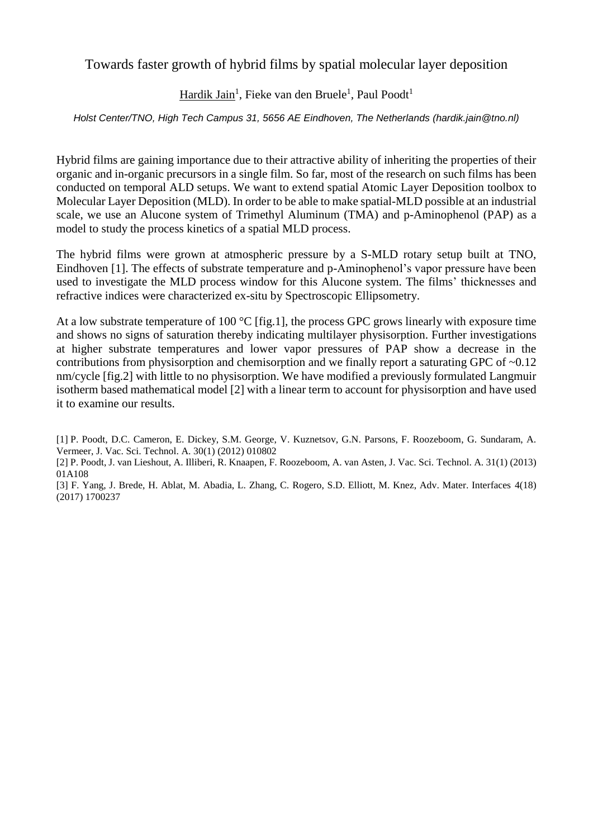Towards faster growth of hybrid films by spatial molecular layer deposition

Hardik Jain<sup>1</sup>, Fieke van den Bruele<sup>1</sup>, Paul Poodt<sup>1</sup>

*Holst Center/TNO, High Tech Campus 31, 5656 AE Eindhoven, The Netherlands (hardik.jain@tno.nl)*

Hybrid films are gaining importance due to their attractive ability of inheriting the properties of their organic and in-organic precursors in a single film. So far, most of the research on such films has been conducted on temporal ALD setups. We want to extend spatial Atomic Layer Deposition toolbox to Molecular Layer Deposition (MLD). In order to be able to make spatial-MLD possible at an industrial scale, we use an Alucone system of Trimethyl Aluminum (TMA) and p-Aminophenol (PAP) as a model to study the process kinetics of a spatial MLD process.

The hybrid films were grown at atmospheric pressure by a S-MLD rotary setup built at TNO, Eindhoven [1]. The effects of substrate temperature and p-Aminophenol's vapor pressure have been used to investigate the MLD process window for this Alucone system. The films' thicknesses and refractive indices were characterized ex-situ by Spectroscopic Ellipsometry.

At a low substrate temperature of 100  $^{\circ}$ C [fig.1], the process GPC grows linearly with exposure time and shows no signs of saturation thereby indicating multilayer physisorption. Further investigations at higher substrate temperatures and lower vapor pressures of PAP show a decrease in the contributions from physisorption and chemisorption and we finally report a saturating GPC of  $\sim 0.12$ nm/cycle [fig.2] with little to no physisorption. We have modified a previously formulated Langmuir isotherm based mathematical model [2] with a linear term to account for physisorption and have used it to examine our results.

[1] P. Poodt, D.C. Cameron, E. Dickey, S.M. George, V. Kuznetsov, G.N. Parsons, F. Roozeboom, G. Sundaram, A. Vermeer, J. Vac. Sci. Technol. A. 30(1) (2012) 010802

<sup>[2]</sup> P. Poodt, J. van Lieshout, A. Illiberi, R. Knaapen, F. Roozeboom, A. van Asten, J. Vac. Sci. Technol. A. 31(1) (2013) 01A108

<sup>[3]</sup> F. Yang, J. Brede, H. Ablat, M. Abadia, L. Zhang, C. Rogero, S.D. Elliott, M. Knez, Adv. Mater. Interfaces 4(18) (2017) 1700237